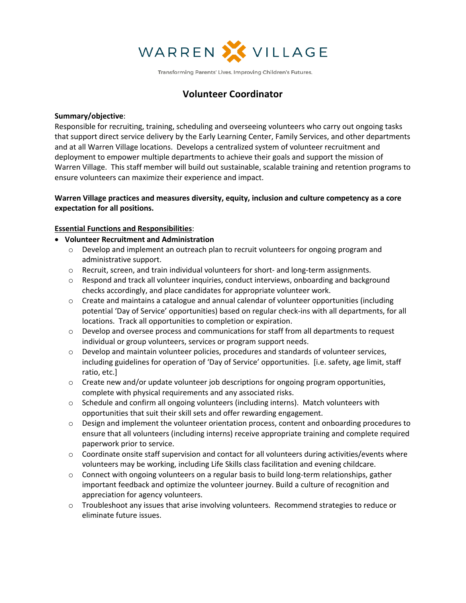

Transforming Parents' Lives. Improving Children's Futures.

# **Volunteer Coordinator**

#### **Summary/objective**:

Responsible for recruiting, training, scheduling and overseeing volunteers who carry out ongoing tasks that support direct service delivery by the Early Learning Center, Family Services, and other departments and at all Warren Village locations. Develops a centralized system of volunteer recruitment and deployment to empower multiple departments to achieve their goals and support the mission of Warren Village. This staff member will build out sustainable, scalable training and retention programs to ensure volunteers can maximize their experience and impact.

## **Warren Village practices and measures diversity, equity, inclusion and culture competency as a core expectation for all positions.**

### **Essential Functions and Responsibilities**:

- **Volunteer Recruitment and Administration**
	- $\circ$  Develop and implement an outreach plan to recruit volunteers for ongoing program and administrative support.
	- o Recruit, screen, and train individual volunteers for short- and long-term assignments.
	- o Respond and track all volunteer inquiries, conduct interviews, onboarding and background checks accordingly, and place candidates for appropriate volunteer work.
	- $\circ$  Create and maintains a catalogue and annual calendar of volunteer opportunities (including potential 'Day of Service' opportunities) based on regular check-ins with all departments, for all locations. Track all opportunities to completion or expiration.
	- $\circ$  Develop and oversee process and communications for staff from all departments to request individual or group volunteers, services or program support needs.
	- o Develop and maintain volunteer policies, procedures and standards of volunteer services, including guidelines for operation of 'Day of Service' opportunities. [i.e. safety, age limit, staff ratio, etc.]
	- $\circ$  Create new and/or update volunteer job descriptions for ongoing program opportunities, complete with physical requirements and any associated risks.
	- $\circ$  Schedule and confirm all ongoing volunteers (including interns). Match volunteers with opportunities that suit their skill sets and offer rewarding engagement.
	- $\circ$  Design and implement the volunteer orientation process, content and onboarding procedures to ensure that all volunteers (including interns) receive appropriate training and complete required paperwork prior to service.
	- $\circ$  Coordinate onsite staff supervision and contact for all volunteers during activities/events where volunteers may be working, including Life Skills class facilitation and evening childcare.
	- $\circ$  Connect with ongoing volunteers on a regular basis to build long-term relationships, gather important feedback and optimize the volunteer journey. Build a culture of recognition and appreciation for agency volunteers.
	- $\circ$  Troubleshoot any issues that arise involving volunteers. Recommend strategies to reduce or eliminate future issues.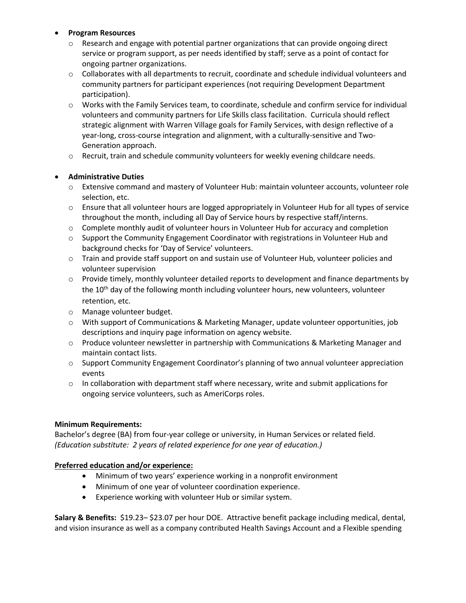## • **Program Resources**

- $\circ$  Research and engage with potential partner organizations that can provide ongoing direct service or program support, as per needs identified by staff; serve as a point of contact for ongoing partner organizations.
- $\circ$  Collaborates with all departments to recruit, coordinate and schedule individual volunteers and community partners for participant experiences (not requiring Development Department participation).
- o Works with the Family Services team, to coordinate, schedule and confirm service for individual volunteers and community partners for Life Skills class facilitation. Curricula should reflect strategic alignment with Warren Village goals for Family Services, with design reflective of a year-long, cross-course integration and alignment, with a culturally-sensitive and Two-Generation approach.
- $\circ$  Recruit, train and schedule community volunteers for weekly evening childcare needs.

## • **Administrative Duties**

- o Extensive command and mastery of Volunteer Hub: maintain volunteer accounts, volunteer role selection, etc.
- o Ensure that all volunteer hours are logged appropriately in Volunteer Hub for all types of service throughout the month, including all Day of Service hours by respective staff/interns.
- o Complete monthly audit of volunteer hours in Volunteer Hub for accuracy and completion
- $\circ$  Support the Community Engagement Coordinator with registrations in Volunteer Hub and background checks for 'Day of Service' volunteers.
- $\circ$  Train and provide staff support on and sustain use of Volunteer Hub, volunteer policies and volunteer supervision
- $\circ$  Provide timely, monthly volunteer detailed reports to development and finance departments by the  $10<sup>th</sup>$  day of the following month including volunteer hours, new volunteers, volunteer retention, etc.
- o Manage volunteer budget.
- o With support of Communications & Marketing Manager, update volunteer opportunities, job descriptions and inquiry page information on agency website.
- o Produce volunteer newsletter in partnership with Communications & Marketing Manager and maintain contact lists.
- $\circ$  Support Community Engagement Coordinator's planning of two annual volunteer appreciation events
- $\circ$  In collaboration with department staff where necessary, write and submit applications for ongoing service volunteers, such as AmeriCorps roles.

### **Minimum Requirements:**

Bachelor's degree (BA) from four-year college or university, in Human Services or related field. *(Education substitute: 2 years of related experience for one year of education.)*

### **Preferred education and/or experience:**

- Minimum of two years' experience working in a nonprofit environment
- Minimum of one year of volunteer coordination experience.
- Experience working with volunteer Hub or similar system.

**Salary & Benefits:** \$19.23– \$23.07 per hour DOE. Attractive benefit package including medical, dental, and vision insurance as well as a company contributed Health Savings Account and a Flexible spending